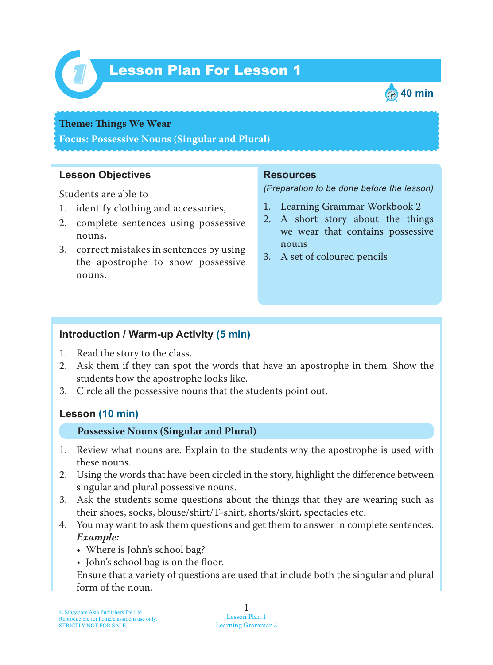

# Lesson Plan For Lesson 1 *1*



#### **Theme: Things We Wear**

**Focus: Possessive Nouns (Singular and Plural)**

### **Lesson Objectives**

Students are able to

- 1. identify clothing and accessories,
- 2. complete sentences using possessive nouns,
- 3. correct mistakes in sentences by using the apostrophe to show possessive nouns.

### **Resources**

*(Preparation to be done before the lesson)*

- 1. Learning Grammar Workbook 2
- 2. A short story about the things we wear that contains possessive nouns
- 3. A set of coloured pencils

# **Introduction / Warm-up Activity (5 min)**

- 1. Read the story to the class.
- 2. Ask them if they can spot the words that have an apostrophe in them. Show the students how the apostrophe looks like.
- 3. Circle all the possessive nouns that the students point out.

# **Lesson (10 min)**

#### **Possessive Nouns (Singular and Plural)**

- 1. Review what nouns are. Explain to the students why the apostrophe is used with these nouns.
- 2. Using the words that have been circled in the story, highlight the difference between singular and plural possessive nouns.
- 3. Ask the students some questions about the things that they are wearing such as their shoes, socks, blouse/shirt/T-shirt, shorts/skirt, spectacles etc.
- 4. You may want to ask them questions and get them to answer in complete sentences. *Example:*
	- Where is John's school bag?
	- John's school bag is on the floor.

Ensure that a variety of questions are used that include both the singular and plural form of the noun.